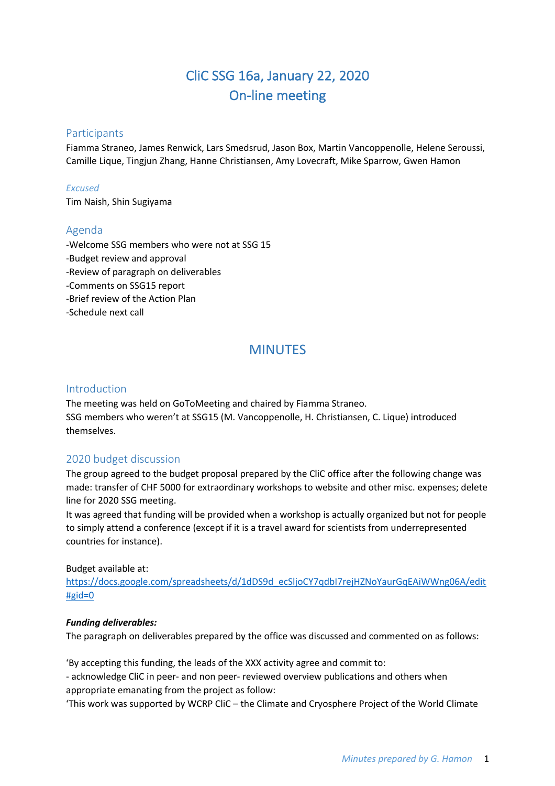# CliC SSG 16a, January 22, 2020 On-line meeting

## **Participants**

Fiamma Straneo, James Renwick, Lars Smedsrud, Jason Box, Martin Vancoppenolle, Helene Seroussi, Camille Lique, Tingjun Zhang, Hanne Christiansen, Amy Lovecraft, Mike Sparrow, Gwen Hamon

#### *Excused*

Tim Naish, Shin Sugiyama

## Agenda

-Welcome SSG members who were not at SSG 15 -Budget review and approval -Review of paragraph on deliverables -Comments on SSG15 report -Brief review of the Action Plan -Schedule next call

## MINUTES

## Introduction

The meeting was held on GoToMeeting and chaired by Fiamma Straneo. SSG members who weren't at SSG15 (M. Vancoppenolle, H. Christiansen, C. Lique) introduced themselves.

## 2020 budget discussion

The group agreed to the budget proposal prepared by the CliC office after the following change was made: transfer of CHF 5000 for extraordinary workshops to website and other misc. expenses; delete line for 2020 SSG meeting.

It was agreed that funding will be provided when a workshop is actually organized but not for people to simply attend a conference (except if it is a travel award for scientists from underrepresented countries for instance).

#### Budget available at:

https://docs.google.com/spreadsheets/d/1dDS9d\_ecSljoCY7qdbI7rejHZNoYaurGqEAiWWng06A/edit  $#gid=0$ 

#### *Funding deliverables:*

The paragraph on deliverables prepared by the office was discussed and commented on as follows:

'By accepting this funding, the leads of the XXX activity agree and commit to:

- acknowledge CliC in peer- and non peer- reviewed overview publications and others when appropriate emanating from the project as follow:

'This work was supported by WCRP CliC – the Climate and Cryosphere Project of the World Climate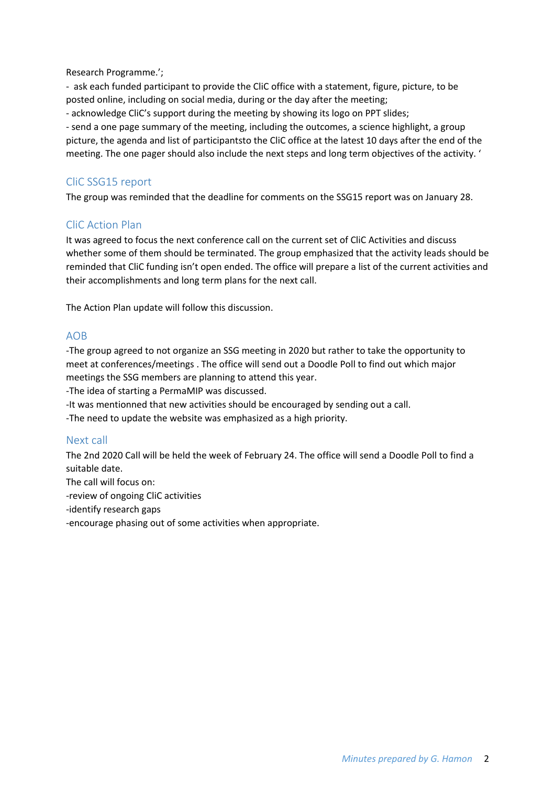Research Programme.';

- ask each funded participant to provide the CliC office with a statement, figure, picture, to be posted online, including on social media, during or the day after the meeting;

- acknowledge CliC's support during the meeting by showing its logo on PPT slides;

- send a one page summary of the meeting, including the outcomes, a science highlight, a group picture, the agenda and list of participantsto the CliC office at the latest 10 days after the end of the meeting. The one pager should also include the next steps and long term objectives of the activity. '

## CliC SSG15 report

The group was reminded that the deadline for comments on the SSG15 report was on January 28.

## CliC Action Plan

It was agreed to focus the next conference call on the current set of CliC Activities and discuss whether some of them should be terminated. The group emphasized that the activity leads should be reminded that CliC funding isn't open ended. The office will prepare a list of the current activities and their accomplishments and long term plans for the next call.

The Action Plan update will follow this discussion.

## AOB

-The group agreed to not organize an SSG meeting in 2020 but rather to take the opportunity to meet at conferences/meetings . The office will send out a Doodle Poll to find out which major meetings the SSG members are planning to attend this year.

-The idea of starting a PermaMIP was discussed.

-It was mentionned that new activities should be encouraged by sending out a call.

-The need to update the website was emphasized as a high priority.

## Next call

The 2nd 2020 Call will be held the week of February 24. The office will send a Doodle Poll to find a suitable date.

The call will focus on:

-review of ongoing CliC activities

-identify research gaps

-encourage phasing out of some activities when appropriate.